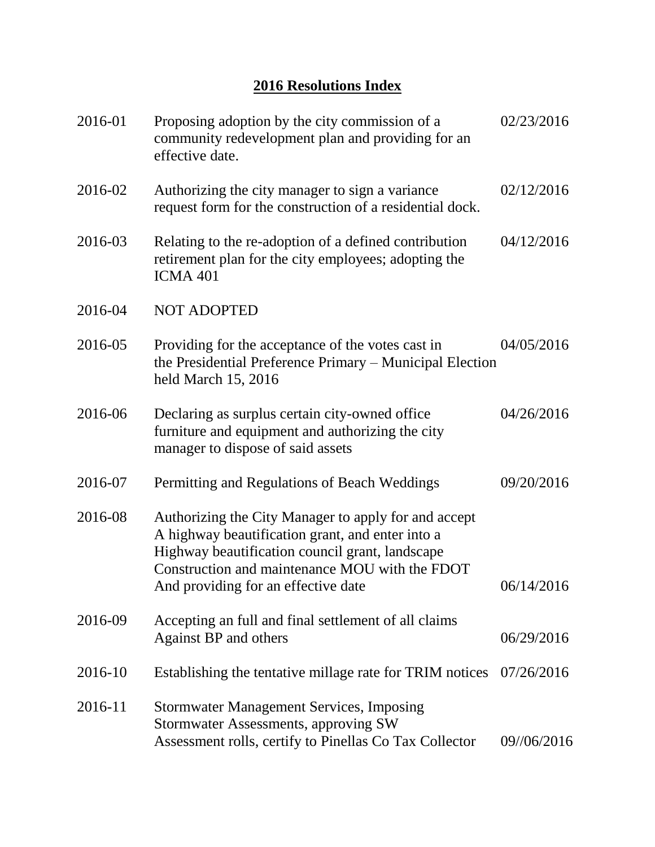## **2016 Resolutions Index**

| 2016-01 | Proposing adoption by the city commission of a<br>community redevelopment plan and providing for an<br>effective date.                                                                                                                               | 02/23/2016  |
|---------|------------------------------------------------------------------------------------------------------------------------------------------------------------------------------------------------------------------------------------------------------|-------------|
| 2016-02 | Authorizing the city manager to sign a variance<br>request form for the construction of a residential dock.                                                                                                                                          | 02/12/2016  |
| 2016-03 | Relating to the re-adoption of a defined contribution<br>retirement plan for the city employees; adopting the<br><b>ICMA 401</b>                                                                                                                     | 04/12/2016  |
| 2016-04 | <b>NOT ADOPTED</b>                                                                                                                                                                                                                                   |             |
| 2016-05 | Providing for the acceptance of the votes cast in<br>the Presidential Preference Primary - Municipal Election<br>held March 15, 2016                                                                                                                 | 04/05/2016  |
| 2016-06 | Declaring as surplus certain city-owned office<br>furniture and equipment and authorizing the city<br>manager to dispose of said assets                                                                                                              | 04/26/2016  |
| 2016-07 | Permitting and Regulations of Beach Weddings                                                                                                                                                                                                         | 09/20/2016  |
| 2016-08 | Authorizing the City Manager to apply for and accept<br>A highway beautification grant, and enter into a<br>Highway beautification council grant, landscape<br>Construction and maintenance MOU with the FDOT<br>And providing for an effective date | 06/14/2016  |
| 2016-09 | Accepting an full and final settlement of all claims<br><b>Against BP and others</b>                                                                                                                                                                 | 06/29/2016  |
| 2016-10 | Establishing the tentative millage rate for TRIM notices                                                                                                                                                                                             | 07/26/2016  |
| 2016-11 | <b>Stormwater Management Services, Imposing</b><br>Stormwater Assessments, approving SW<br>Assessment rolls, certify to Pinellas Co Tax Collector                                                                                                    | 09//06/2016 |